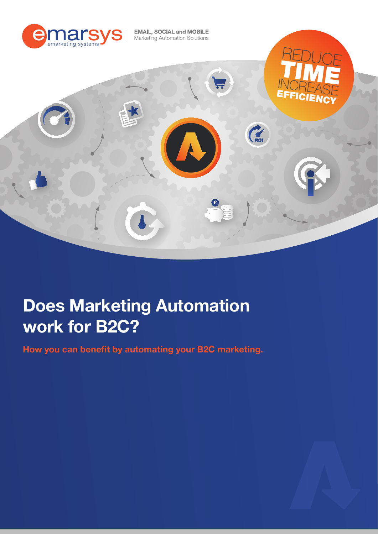

# Does Marketing Automation work for B2C?

How you can benefit by automating your B2C marketing.

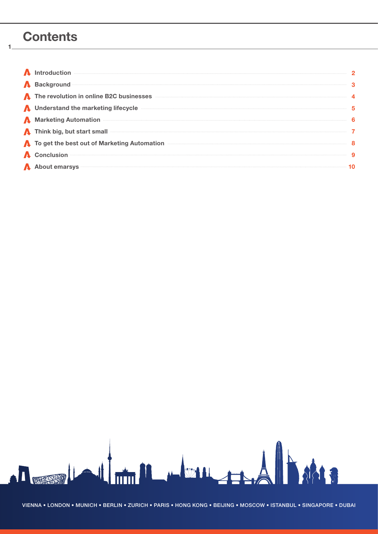### **Contents**

1

| ntroduction                                                                                                                                                                                                                              |   |
|------------------------------------------------------------------------------------------------------------------------------------------------------------------------------------------------------------------------------------------|---|
| A Background <b>Constitution and Constitution</b> and Constitution and Constitution and Constitution and Constitution and Constitution and Constitution and Constitution and Constitution and Constitution and Constitution and Con      |   |
| The revolution in online B2C businesses                                                                                                                                                                                                  |   |
| <b>A</b> Understand the marketing lifecycle                                                                                                                                                                                              | 5 |
| A Marketing Automation <b>Executive Construction</b> and the Marketing Automation <b>Construction</b>                                                                                                                                    |   |
| <b>A</b> Think big, but start small <b>start</b> contains the start of the start small start small start small start small start small start small start small start small start small start small start small start small start small s |   |
| To get the best out of Marketing Automation                                                                                                                                                                                              |   |
| A Conclusion <b>Conclusion Conclusion Conclusion Conclusion Conclusion Conclusion Conclusion Conclusion Conclusion Conclusion Conclusion Conclusion Conclusion Conclusion Conclusion Conclusion </b>                                     |   |
| A About emarsys                                                                                                                                                                                                                          |   |

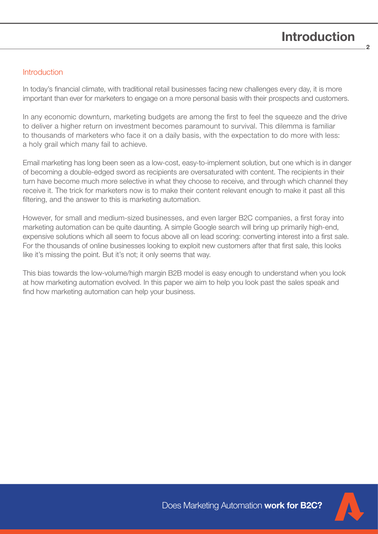2

#### **Introduction**

In today's financial climate, with traditional retail businesses facing new challenges every day, it is more important than ever for marketers to engage on a more personal basis with their prospects and customers.

In any economic downturn, marketing budgets are among the first to feel the squeeze and the drive to deliver a higher return on investment becomes paramount to survival. This dilemma is familiar to thousands of marketers who face it on a daily basis, with the expectation to do more with less: a holy grail which many fail to achieve.

Email marketing has long been seen as a low-cost, easy-to-implement solution, but one which is in danger of becoming a double-edged sword as recipients are oversaturated with content. The recipients in their turn have become much more selective in what they choose to receive, and through which channel they receive it. The trick for marketers now is to make their content relevant enough to make it past all this filtering, and the answer to this is marketing automation.

However, for small and medium-sized businesses, and even larger B2C companies, a first foray into marketing automation can be quite daunting. A simple Google search will bring up primarily high-end, expensive solutions which all seem to focus above all on lead scoring: converting interest into a first sale. For the thousands of online businesses looking to exploit new customers after that first sale, this looks like it's missing the point. But it's not; it only seems that way.

This bias towards the low-volume/high margin B2B model is easy enough to understand when you look at how marketing automation evolved. In this paper we aim to help you look past the sales speak and find how marketing automation can help your business.



Does Marketing Automation work for B2C?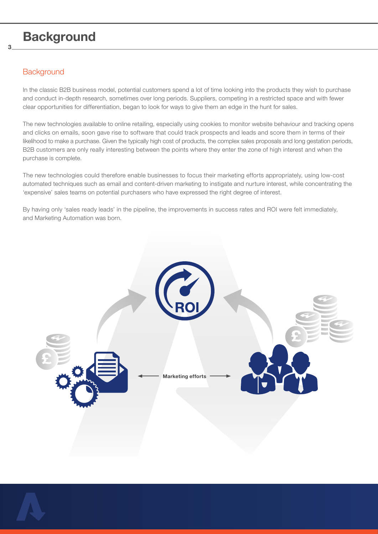### **Background**

### **Background**

3

In the classic B2B business model, potential customers spend a lot of time looking into the products they wish to purchase and conduct in-depth research, sometimes over long periods. Suppliers, competing in a restricted space and with fewer clear opportunities for differentiation, began to look for ways to give them an edge in the hunt for sales.

The new technologies available to online retailing, especially using cookies to monitor website behaviour and tracking opens and clicks on emails, soon gave rise to software that could track prospects and leads and score them in terms of their likelihood to make a purchase. Given the typically high cost of products, the complex sales proposals and long gestation periods, B2B customers are only really interesting between the points where they enter the zone of high interest and when the purchase is complete.

The new technologies could therefore enable businesses to focus their marketing efforts appropriately, using low-cost automated techniques such as email and content-driven marketing to instigate and nurture interest, while concentrating the 'expensive' sales teams on potential purchasers who have expressed the right degree of interest.

By having only 'sales ready leads' in the pipeline, the improvements in success rates and ROI were felt immediately, and Marketing Automation was born.



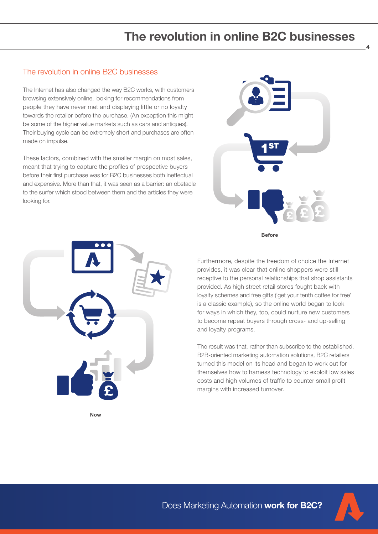## The revolution in online B2C businesses

#### The revolution in online B2C businesses

The Internet has also changed the way B2C works, with customers browsing extensively online, looking for recommendations from people they have never met and displaying little or no loyalty towards the retailer before the purchase. (An exception this might be some of the higher value markets such as cars and antiques). Their buying cycle can be extremely short and purchases are often made on impulse.

These factors, combined with the smaller margin on most sales, meant that trying to capture the profiles of prospective buyers before their first purchase was for B2C businesses both ineffectual and expensive. More than that, it was seen as a barrier: an obstacle to the surfer which stood between them and the articles they were looking for.







Furthermore, despite the freedom of choice the Internet provides, it was clear that online shoppers were still receptive to the personal relationships that shop assistants provided. As high street retail stores fought back with loyalty schemes and free gifts ('get your tenth coffee for free' is a classic example), so the online world began to look for ways in which they, too, could nurture new customers to become repeat buyers through cross- and up-selling and loyalty programs.

The result was that, rather than subscribe to the established, B2B-oriented marketing automation solutions, B2C retailers turned this model on its head and began to work out for themselves how to harness technology to exploit low sales costs and high volumes of traffic to counter small profit margins with increased turnover.

Now



4

Does Marketing Automation work for B2C?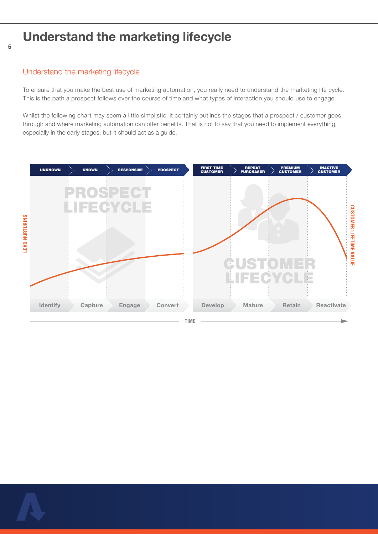### Understand the marketing lifecycle

#### Understand the marketing lifecycle

5

To ensure that you make the best use of marketing automation, you really need to understand the marketing life cycle. This is the path a prospect follows over the course of time and what types of interaction you should use to engage.

Whilst the following chart may seem a little simplistic, it certainly outlines the stages that a prospect / customer goes through and where marketing automation can offer benefits. That is not to say that you need to implement everything, especially in the early stages, but it should act as a guide.



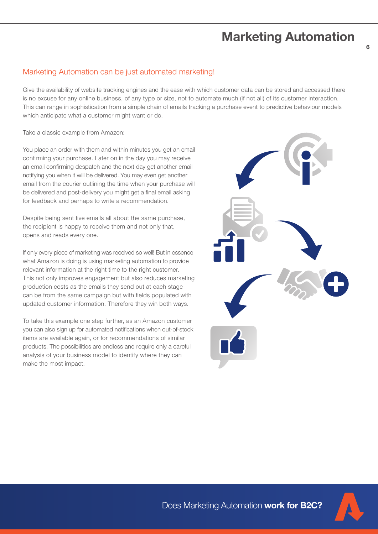# Marketing Automation

6

#### Marketing Automation can be just automated marketing!

Give the availability of website tracking engines and the ease with which customer data can be stored and accessed there is no excuse for any online business, of any type or size, not to automate much (if not all) of its customer interaction. This can range in sophistication from a simple chain of emails tracking a purchase event to predictive behaviour models which anticipate what a customer might want or do.

Take a classic example from Amazon:

You place an order with them and within minutes you get an email confirming your purchase. Later on in the day you may receive an email confirming despatch and the next day get another email notifying you when it will be delivered. You may even get another email from the courier outlining the time when your purchase will be delivered and post-delivery you might get a final email asking for feedback and perhaps to write a recommendation.

Despite being sent five emails all about the same purchase, the recipient is happy to receive them and not only that, opens and reads every one.

If only every piece of marketing was received so well! But in essence what Amazon is doing is using marketing automation to provide relevant information at the right time to the right customer. This not only improves engagement but also reduces marketing production costs as the emails they send out at each stage can be from the same campaign but with fields populated with updated customer information. Therefore they win both ways.

To take this example one step further, as an Amazon customer you can also sign up for automated notifications when out-of-stock items are available again, or for recommendations of similar products. The possibilities are endless and require only a careful analysis of your business model to identify where they can make the most impact.



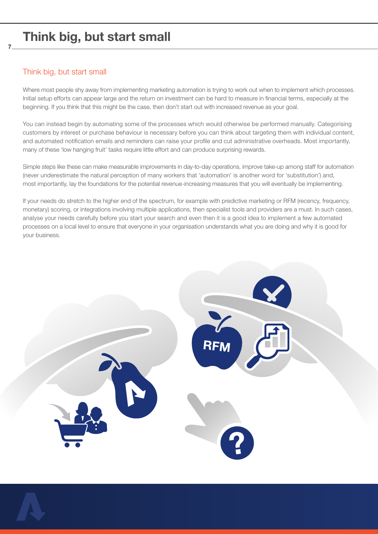### Think big, but start small

7

Where most people shy away from implementing marketing automation is trying to work out when to implement which processes. Initial setup efforts can appear large and the return on investment can be hard to measure in financial terms, especially at the beginning. If you think that this might be the case, then don't start out with increased revenue as your goal.

You can instead begin by automating some of the processes which would otherwise be performed manually. Categorising customers by interest or purchase behaviour is necessary before you can think about targeting them with individual content, and automated notification emails and reminders can raise your profile and cut administrative overheads. Most importantly, many of these 'low hanging fruit' tasks require little effort and can produce surprising rewards.

Simple steps like these can make measurable improvements in day-to-day operations, improve take-up among staff for automation (never underestimate the natural perception of many workers that 'automation' is another word for 'substitution') and, most importantly, lay the foundations for the potential revenue-increasing measures that you will eventually be implementing.

If your needs do stretch to the higher end of the spectrum, for example with predictive marketing or RFM (recency, frequency, monetary) scoring, or integrations involving multiple applications, then specialist tools and providers are a must. In such cases, analyse your needs carefully before you start your search and even then it is a good idea to implement a few automated processes on a local level to ensure that everyone in your organisation understands what you are doing and why it is good for your business.

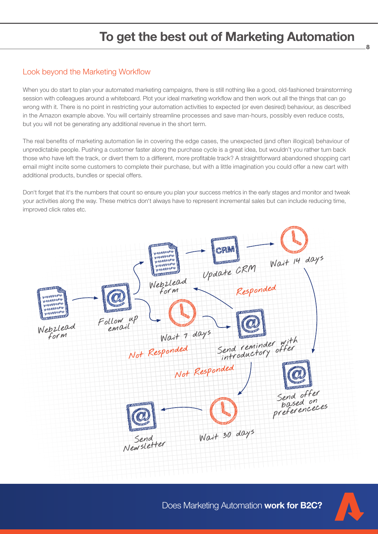# To get the best out of Marketing Automation

#### Look beyond the Marketing Workflow

When you do start to plan your automated marketing campaigns, there is still nothing like a good, old-fashioned brainstorming session with colleagues around a whiteboard. Plot your ideal marketing workflow and then work out all the things that can go wrong with it. There is no point in restricting your automation activities to expected (or even desired) behaviour, as described in the Amazon example above. You will certainly streamline processes and save man-hours, possibly even reduce costs, but you will not be generating any additional revenue in the short term.

The real benefits of marketing automation lie in covering the edge cases, the unexpected (and often illogical) behaviour of unpredictable people. Pushing a customer faster along the purchase cycle is a great idea, but wouldn't you rather turn back those who have left the track, or divert them to a different, more profitable track? A straightforward abandoned shopping cart email might incite some customers to complete their purchase, but with a little imagination you could offer a new cart with additional products, bundles or special offers.

Don't forget that it's the numbers that count so ensure you plan your success metrics in the early stages and monitor and tweak your activities along the way. These metrics don't always have to represent incremental sales but can include reducing time, improved click rates etc.





8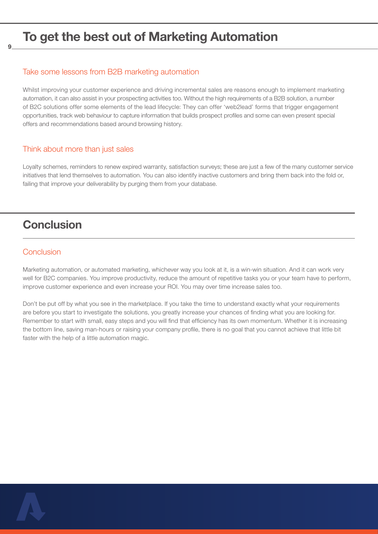### To get the best out of Marketing Automation

#### Take some lessons from B2B marketing automation

Whilst improving your customer experience and driving incremental sales are reasons enough to implement marketing automation, it can also assist in your prospecting activities too. Without the high requirements of a B2B solution, a number of B2C solutions offer some elements of the lead lifecycle: They can offer 'web2lead' forms that trigger engagement opportunities, track web behaviour to capture information that builds prospect profiles and some can even present special offers and recommendations based around browsing history.

#### Think about more than just sales

Loyalty schemes, reminders to renew expired warranty, satisfaction surveys; these are just a few of the many customer service initiatives that lend themselves to automation. You can also identify inactive customers and bring them back into the fold or, failing that improve your deliverability by purging them from your database.

### **Conclusion**

#### **Conclusion**

9

Marketing automation, or automated marketing, whichever way you look at it, is a win-win situation. And it can work very well for B2C companies. You improve productivity, reduce the amount of repetitive tasks you or your team have to perform, improve customer experience and even increase your ROI. You may over time increase sales too.

Don't be put off by what you see in the marketplace. If you take the time to understand exactly what your requirements are before you start to investigate the solutions, you greatly increase your chances of finding what you are looking for. Remember to start with small, easy steps and you will find that efficiency has its own momentum. Whether it is increasing the bottom line, saving man-hours or raising your company profile, there is no goal that you cannot achieve that little bit faster with the help of a little automation magic.

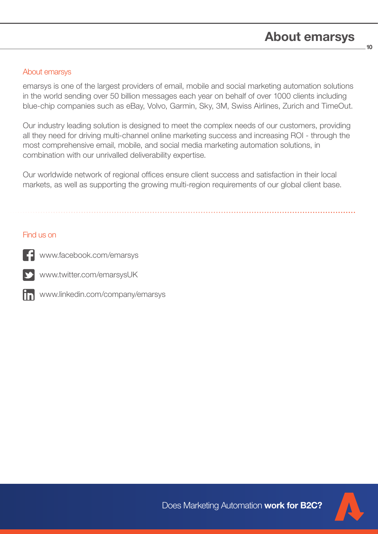10

#### About emarsys

emarsys is one of the largest providers of email, mobile and social marketing automation solutions in the world sending over 50 billion messages each year on behalf of over 1000 clients including blue-chip companies such as eBay, Volvo, Garmin, Sky, 3M, Swiss Airlines, Zurich and TimeOut.

Our industry leading solution is designed to meet the complex needs of our customers, providing all they need for driving multi-channel online marketing success and increasing ROI - through the most comprehensive email, mobile, and social media marketing automation solutions, in combination with our unrivalled deliverability expertise.

Our worldwide network of regional offices ensure client success and satisfaction in their local markets, as well as supporting the growing multi-region requirements of our global client base.

#### Find us on



www.facebook.com/emarsys

www.twitter.com/emarsysUK



www.linkedin.com/company/emarsys